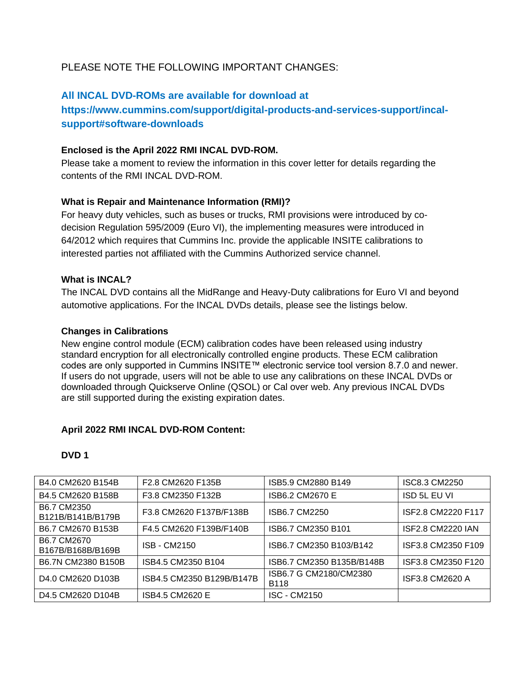# PLEASE NOTE THE FOLLOWING IMPORTANT CHANGES:

### **All INCAL DVD-ROMs are available for download at**

# **https://www.cummins.com/support/digital-products-and-services-support/incalsupport#software-downloads**

#### **Enclosed is the April 2022 RMI INCAL DVD-ROM.**

Please take a moment to review the information in this cover letter for details regarding the contents of the RMI INCAL DVD-ROM.

### **What is Repair and Maintenance Information (RMI)?**

For heavy duty vehicles, such as buses or trucks, RMI provisions were introduced by codecision Regulation 595/2009 (Euro VI), the implementing measures were introduced in 64/2012 which requires that Cummins Inc. provide the applicable INSITE calibrations to interested parties not affiliated with the Cummins Authorized service channel.

#### **What is INCAL?**

The INCAL DVD contains all the MidRange and Heavy-Duty calibrations for Euro VI and beyond automotive applications. For the INCAL DVDs details, please see the listings below.

#### **Changes in Calibrations**

New engine control module (ECM) calibration codes have been released using industry standard encryption for all electronically controlled engine products. These ECM calibration codes are only supported in Cummins INSITE™ electronic service tool version 8.7.0 and newer. If users do not upgrade, users will not be able to use any calibrations on these INCAL DVDs or downloaded through Quickserve Online (QSOL) or Cal over web. Any previous INCAL DVDs are still supported during the existing expiration dates.

#### **April 2022 RMI INCAL DVD-ROM Content:**

#### **DVD 1**

| B4.0 CM2620 B154B                                      | F2.8 CM2620 F135B         | ISB5.9 CM2880 B149                    | ISC8.3 CM2250            |
|--------------------------------------------------------|---------------------------|---------------------------------------|--------------------------|
| B4.5 CM2620 B158B                                      | F3.8 CM2350 F132B         | ISB6.2 CM2670 E                       | <b>ISD 5L EU VI</b>      |
| B6.7 CM2350<br>B121B/B141B/B179B                       | F3.8 CM2620 F137B/F138B   | ISB6.7 CM2250                         | ISF2.8 CM2220 F117       |
| B6.7 CM2670 B153B                                      | F4.5 CM2620 F139B/F140B   | ISB6.7 CM2350 B101                    | <b>ISF2.8 CM2220 IAN</b> |
| B6.7 CM2670<br>B167B/B168B/B169B                       | <b>ISB - CM2150</b>       | ISB6.7 CM2350 B103/B142               | ISF3.8 CM2350 F109       |
| B6.7N CM2380 B150B                                     | ISB4.5 CM2350 B104        | ISB6.7 CM2350 B135B/B148B             | ISF3.8 CM2350 F120       |
| D <sub>4.0</sub> CM <sub>2620</sub> D <sub>103</sub> B | ISB4.5 CM2350 B129B/B147B | ISB6.7 G CM2180/CM2380<br><b>B118</b> | ISF3.8 CM2620 A          |
| D4.5 CM2620 D104B                                      | ISB4.5 CM2620 E           | <b>ISC - CM2150</b>                   |                          |